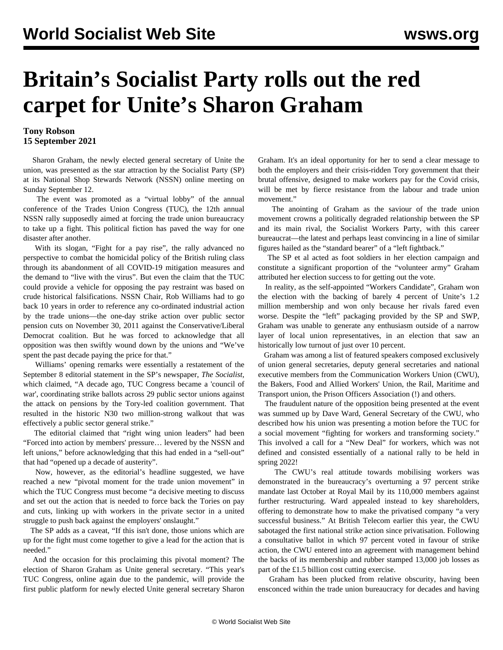## **Britain's Socialist Party rolls out the red carpet for Unite's Sharon Graham**

## **Tony Robson 15 September 2021**

 Sharon Graham, the newly elected general secretary of Unite the union, was presented as the star attraction by the Socialist Party (SP) at its National Shop Stewards Network (NSSN) online meeting on Sunday September 12.

 The event was promoted as a "virtual lobby" of the annual conference of the Trades Union Congress (TUC), the 12th annual NSSN rally supposedly aimed at forcing the trade union bureaucracy to take up a fight. This political fiction has paved the way for one disaster after another.

 With its slogan, "Fight for a pay rise", the rally advanced no perspective to combat the homicidal policy of the British ruling class through its abandonment of all COVID-19 mitigation measures and the demand to "live with the virus". But even the claim that the TUC could provide a vehicle for opposing the pay restraint was based on crude historical falsifications. NSSN Chair, Rob Williams had to go back 10 years in order to reference any co-ordinated industrial action by the trade unions—the one-day strike action over public sector pension cuts on November 30, 2011 against the Conservative/Liberal Democrat coalition. But he was forced to acknowledge that all opposition was then swiftly wound down by the unions and "We've spent the past decade paying the price for that."

 Williams' opening remarks were essentially a restatement of the September 8 editorial statement in the SP's newspaper, *The Socialist*, which claimed, "A decade ago, TUC Congress became a 'council of war', coordinating strike ballots across 29 public sector unions against the attack on pensions by the Tory-led coalition government. That resulted in the historic N30 two million-strong walkout that was effectively a public sector general strike."

 The editorial claimed that "right wing union leaders" had been "Forced into action by members' pressure… levered by the NSSN and left unions," before acknowledging that this had ended in a "sell-out" that had "opened up a decade of austerity".

 Now, however, as the editorial's headline suggested, we have reached a new "pivotal moment for the trade union movement" in which the TUC Congress must become "a decisive meeting to discuss and set out the action that is needed to force back the Tories on pay and cuts, linking up with workers in the private sector in a united struggle to push back against the employers' onslaught."

 The SP adds as a caveat, "If this isn't done, those unions which are up for the fight must come together to give a lead for the action that is needed."

 And the occasion for this proclaiming this pivotal moment? The election of Sharon Graham as Unite general secretary. "This year's TUC Congress, online again due to the pandemic, will provide the first public platform for newly elected Unite general secretary Sharon Graham. It's an ideal opportunity for her to send a clear message to both the employers and their crisis-ridden Tory government that their brutal offensive, designed to make workers pay for the Covid crisis, will be met by fierce resistance from the labour and trade union movement."

 The anointing of Graham as the saviour of the trade union movement crowns a politically degraded relationship between the SP and its main rival, the Socialist Workers Party, with this career bureaucrat—the latest and perhaps least convincing in a line of similar figures hailed as the "standard bearer" of a "left fightback."

 The SP et al acted as foot soldiers in her election campaign and constitute a significant proportion of the "volunteer army" Graham attributed her election success to for getting out the vote.

 In reality, as the self-appointed "Workers Candidate", Graham won the election with the backing of barely 4 percent of Unite's 1.2 million membership and won only because her rivals fared even worse. Despite the "left" packaging provided by the SP and SWP, Graham was unable to generate any enthusiasm outside of a narrow layer of local union representatives, in an election that saw an historically low turnout of just over 10 percent.

 Graham was among a list of featured speakers composed exclusively of union general secretaries, deputy general secretaries and national executive members from the Communication Workers Union (CWU), the Bakers, Food and Allied Workers' Union, the Rail, Maritime and Transport union, the Prison Officers Association (!) and others.

 The fraudulent nature of the opposition being presented at the event was summed up by Dave Ward, General Secretary of the CWU, who described how his union was presenting a motion before the TUC for a social movement "fighting for workers and transforming society." This involved a call for a "New Deal" for workers, which was not defined and consisted essentially of a national rally to be held in spring 2022!

 The CWU's real attitude towards mobilising workers was demonstrated in the bureaucracy's overturning a 97 percent strike mandate last October at Royal Mail by its 110,000 members against further restructuring. Ward appealed instead to key shareholders, offering to demonstrate how to make the privatised company "a very successful business." At British Telecom earlier this year, the CWU sabotaged the first national strike action since privatisation. Following a consultative ballot in which 97 percent voted in favour of strike action, the CWU entered into an agreement with management behind the backs of its membership and rubber stamped 13,000 job losses as part of the £1.5 billion cost cutting exercise.

 Graham has been plucked from relative obscurity, having been ensconced within the trade union bureaucracy for decades and having